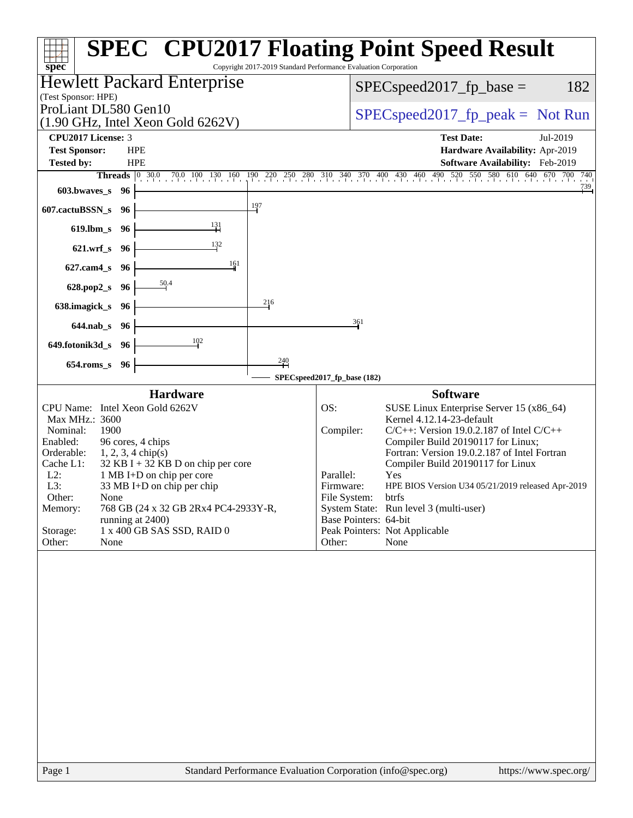| spec <sup>®</sup>                                 |                      |                                                             | Copyright 2017-2019 Standard Performance Evaluation Corporation |                                    | <b>SPEC<sup>®</sup> CPU2017 Floating Point Speed Result</b>                                                 |                                 |                 |  |  |
|---------------------------------------------------|----------------------|-------------------------------------------------------------|-----------------------------------------------------------------|------------------------------------|-------------------------------------------------------------------------------------------------------------|---------------------------------|-----------------|--|--|
|                                                   |                      | <b>Hewlett Packard Enterprise</b>                           |                                                                 | 182<br>$SPEC speed2017_fp\_base =$ |                                                                                                             |                                 |                 |  |  |
| (Test Sponsor: HPE)                               |                      |                                                             |                                                                 |                                    |                                                                                                             |                                 |                 |  |  |
| ProLiant DL580 Gen10                              |                      | $(1.90 \text{ GHz}, \text{Intel Xeon Gold } 6262 \text{V})$ |                                                                 |                                    | $SPEC speed2017rfp peak = Not Run$                                                                          |                                 |                 |  |  |
| <b>CPU2017 License: 3</b>                         |                      |                                                             |                                                                 |                                    | <b>Test Date:</b>                                                                                           | Jul-2019                        |                 |  |  |
| <b>Test Sponsor:</b>                              | <b>HPE</b>           |                                                             |                                                                 |                                    |                                                                                                             | Hardware Availability: Apr-2019 |                 |  |  |
| <b>Tested by:</b>                                 | <b>HPE</b>           |                                                             |                                                                 |                                    |                                                                                                             | Software Availability: Feb-2019 |                 |  |  |
| 603.bwaves_s 96                                   |                      |                                                             |                                                                 |                                    | Threads 0 30.0 70.0 100 130 160 190 220 250 280 310 340 370 400 430 460 490 520 550 580 610 640 670 700 740 |                                 | $\frac{739}{1}$ |  |  |
| 607.cactuBSSN_s 96                                |                      |                                                             | $\frac{197}{2}$                                                 |                                    |                                                                                                             |                                 |                 |  |  |
| 619.lbm_s 96                                      |                      | $\frac{131}{1}$                                             |                                                                 |                                    |                                                                                                             |                                 |                 |  |  |
| 621.wrf_s 96                                      |                      | $\frac{132}{2}$                                             |                                                                 |                                    |                                                                                                             |                                 |                 |  |  |
| $627$ .cam $4$ <sub>_S</sub>                      | - 96                 | 161                                                         |                                                                 |                                    |                                                                                                             |                                 |                 |  |  |
| 628.pop2_s 96                                     |                      | $\frac{50.4}{50}$                                           |                                                                 |                                    |                                                                                                             |                                 |                 |  |  |
| 638.imagick_s 96                                  |                      |                                                             | 216                                                             |                                    |                                                                                                             |                                 |                 |  |  |
| 644.nab_s 96                                      |                      |                                                             |                                                                 | 361                                |                                                                                                             |                                 |                 |  |  |
| 649.fotonik3d_s 96                                |                      | $\frac{102}{2}$                                             |                                                                 |                                    |                                                                                                             |                                 |                 |  |  |
| 654.roms_s 96                                     |                      |                                                             | 240                                                             |                                    |                                                                                                             |                                 |                 |  |  |
|                                                   |                      |                                                             |                                                                 | SPECspeed2017_fp_base (182)        |                                                                                                             |                                 |                 |  |  |
|                                                   |                      | <b>Hardware</b>                                             |                                                                 |                                    | <b>Software</b>                                                                                             |                                 |                 |  |  |
| CPU Name: Intel Xeon Gold 6262V<br>Max MHz.: 3600 |                      |                                                             |                                                                 | OS:                                | SUSE Linux Enterprise Server 15 (x86_64)<br>Kernel 4.12.14-23-default                                       |                                 |                 |  |  |
| Nominal:<br>1900                                  |                      |                                                             |                                                                 | Compiler:                          | $C/C++$ : Version 19.0.2.187 of Intel $C/C++$                                                               |                                 |                 |  |  |
| Enabled:                                          | 96 cores, 4 chips    |                                                             |                                                                 |                                    | Compiler Build 20190117 for Linux;                                                                          |                                 |                 |  |  |
| Orderable:<br>Cache L1:                           | $1, 2, 3, 4$ chip(s) | $32$ KB I + 32 KB D on chip per core                        |                                                                 |                                    | Fortran: Version 19.0.2.187 of Intel Fortran<br>Compiler Build 20190117 for Linux                           |                                 |                 |  |  |
| $L2$ :                                            |                      | 1 MB I+D on chip per core                                   |                                                                 | Parallel:                          | Yes                                                                                                         |                                 |                 |  |  |
| L3:                                               |                      | 33 MB I+D on chip per chip                                  |                                                                 | Firmware:                          | HPE BIOS Version U34 05/21/2019 released Apr-2019                                                           |                                 |                 |  |  |
| Other:<br>None<br>Memory:                         |                      | 768 GB (24 x 32 GB 2Rx4 PC4-2933Y-R,                        |                                                                 | File System:                       | btrfs<br>System State: Run level 3 (multi-user)                                                             |                                 |                 |  |  |
|                                                   | running at 2400)     |                                                             |                                                                 | Base Pointers: 64-bit              |                                                                                                             |                                 |                 |  |  |
| Storage:                                          |                      | 1 x 400 GB SAS SSD, RAID 0                                  |                                                                 |                                    | Peak Pointers: Not Applicable                                                                               |                                 |                 |  |  |
| Other:<br>None                                    |                      |                                                             |                                                                 | Other:                             | None                                                                                                        |                                 |                 |  |  |
|                                                   |                      |                                                             |                                                                 |                                    |                                                                                                             |                                 |                 |  |  |
| Page 1                                            |                      |                                                             |                                                                 |                                    | Standard Performance Evaluation Corporation (info@spec.org)                                                 | https://www.spec.org/           |                 |  |  |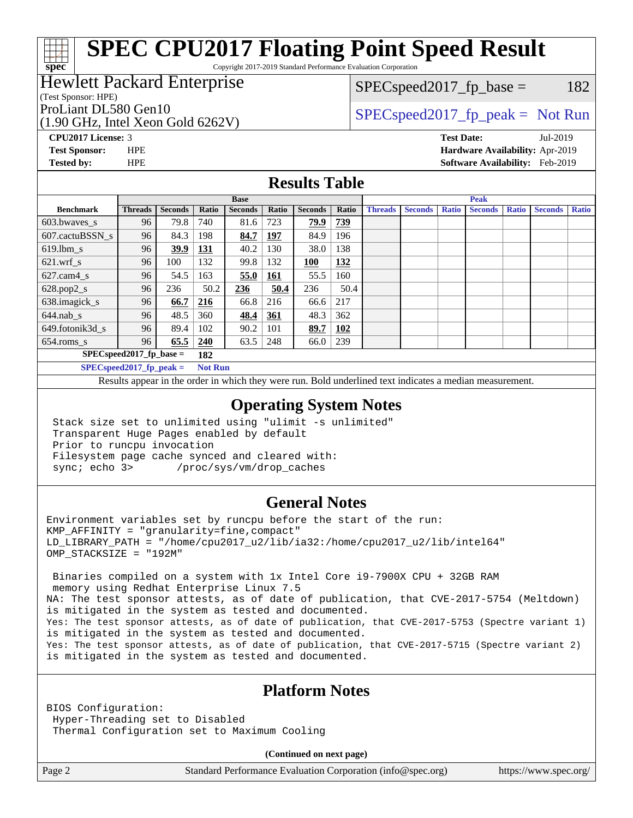Copyright 2017-2019 Standard Performance Evaluation Corporation

## Hewlett Packard Enterprise

(Test Sponsor: HPE)

**[spec](http://www.spec.org/)**

(1.90 GHz, Intel Xeon Gold 6262V)

 $SPEC speed2017_fp\_base = 182$ 

# ProLiant DL580 Gen10  $SPEC speed2017$  fp\_peak = Not Run

**[CPU2017 License:](http://www.spec.org/auto/cpu2017/Docs/result-fields.html#CPU2017License)** 3 **[Test Date:](http://www.spec.org/auto/cpu2017/Docs/result-fields.html#TestDate)** Jul-2019 **[Test Sponsor:](http://www.spec.org/auto/cpu2017/Docs/result-fields.html#TestSponsor)** HPE **[Hardware Availability:](http://www.spec.org/auto/cpu2017/Docs/result-fields.html#HardwareAvailability)** Apr-2019 **[Tested by:](http://www.spec.org/auto/cpu2017/Docs/result-fields.html#Testedby)** HPE **[Software Availability:](http://www.spec.org/auto/cpu2017/Docs/result-fields.html#SoftwareAvailability)** Feb-2019

### **[Results Table](http://www.spec.org/auto/cpu2017/Docs/result-fields.html#ResultsTable)**

|                                     | <b>Base</b>    |                |                 |                |            |                | <b>Peak</b> |                |                |              |                |              |                |              |
|-------------------------------------|----------------|----------------|-----------------|----------------|------------|----------------|-------------|----------------|----------------|--------------|----------------|--------------|----------------|--------------|
| <b>Benchmark</b>                    | <b>Threads</b> | <b>Seconds</b> | Ratio           | <b>Seconds</b> | Ratio      | <b>Seconds</b> | Ratio       | <b>Threads</b> | <b>Seconds</b> | <b>Ratio</b> | <b>Seconds</b> | <b>Ratio</b> | <b>Seconds</b> | <b>Ratio</b> |
| $603.bwaves$ s                      | 96             | 79.8           | 740             | 81.6           | 723        | 79.9           | <u>739</u>  |                |                |              |                |              |                |              |
| 607.cactuBSSN s                     | 96             | 84.3           | 198             | 84.7           | 197        | 84.9           | 196         |                |                |              |                |              |                |              |
| $619.1$ bm s                        | 96             | 39.9           | 131             | 40.2           | 130        | 38.0           | 138         |                |                |              |                |              |                |              |
| $621.wrf$ s                         | 96             | 100            | 132             | 99.8           | 132        | 100            | 132         |                |                |              |                |              |                |              |
| $627$ .cam $4$ <sub>s</sub>         | 96             | 54.5           | 163             | 55.0           | <u>161</u> | 55.5           | 160         |                |                |              |                |              |                |              |
| $628.pop2_s$                        | 96             | 236            | 50.2            | 236            | 50.4       | 236            | 50.4        |                |                |              |                |              |                |              |
| 638.imagick_s                       | 96             | 66.7           | 216             | 66.8           | 216        | 66.6           | 217         |                |                |              |                |              |                |              |
| $644$ .nab s                        | 96             | 48.5           | 360             | 48.4           | 361        | 48.3           | 362         |                |                |              |                |              |                |              |
| 649.fotonik3d s                     | 96             | 89.4           | 102             | 90.2           | 101        | 89.7           | 102         |                |                |              |                |              |                |              |
| $654$ .roms_s                       | 96             | 65.5           | 240             | 63.5           | 248        | 66.0           | 239         |                |                |              |                |              |                |              |
| $SPEC speed2017$ fp base =<br>182   |                |                |                 |                |            |                |             |                |                |              |                |              |                |              |
| $CDP_{1}C_{2} = 14047$ $R_{1} = -1$ |                |                | $M = 4$ $M = 1$ |                |            |                |             |                |                |              |                |              |                |              |

**[SPECspeed2017\\_fp\\_peak =](http://www.spec.org/auto/cpu2017/Docs/result-fields.html#SPECspeed2017fppeak) Not Run**

Results appear in the [order in which they were run.](http://www.spec.org/auto/cpu2017/Docs/result-fields.html#RunOrder) Bold underlined text [indicates a median measurement](http://www.spec.org/auto/cpu2017/Docs/result-fields.html#Median).

#### **[Operating System Notes](http://www.spec.org/auto/cpu2017/Docs/result-fields.html#OperatingSystemNotes)**

 Stack size set to unlimited using "ulimit -s unlimited" Transparent Huge Pages enabled by default Prior to runcpu invocation Filesystem page cache synced and cleared with: sync; echo 3> /proc/sys/vm/drop\_caches

### **[General Notes](http://www.spec.org/auto/cpu2017/Docs/result-fields.html#GeneralNotes)**

Environment variables set by runcpu before the start of the run:  $KMP$  AFFINITY = "granularity=fine, compact" LD\_LIBRARY\_PATH = "/home/cpu2017\_u2/lib/ia32:/home/cpu2017\_u2/lib/intel64" OMP\_STACKSIZE = "192M"

 Binaries compiled on a system with 1x Intel Core i9-7900X CPU + 32GB RAM memory using Redhat Enterprise Linux 7.5 NA: The test sponsor attests, as of date of publication, that CVE-2017-5754 (Meltdown) is mitigated in the system as tested and documented. Yes: The test sponsor attests, as of date of publication, that CVE-2017-5753 (Spectre variant 1) is mitigated in the system as tested and documented. Yes: The test sponsor attests, as of date of publication, that CVE-2017-5715 (Spectre variant 2) is mitigated in the system as tested and documented.

### **[Platform Notes](http://www.spec.org/auto/cpu2017/Docs/result-fields.html#PlatformNotes)**

BIOS Configuration: Hyper-Threading set to Disabled Thermal Configuration set to Maximum Cooling

**(Continued on next page)**

Page 2 Standard Performance Evaluation Corporation [\(info@spec.org\)](mailto:info@spec.org) <https://www.spec.org/>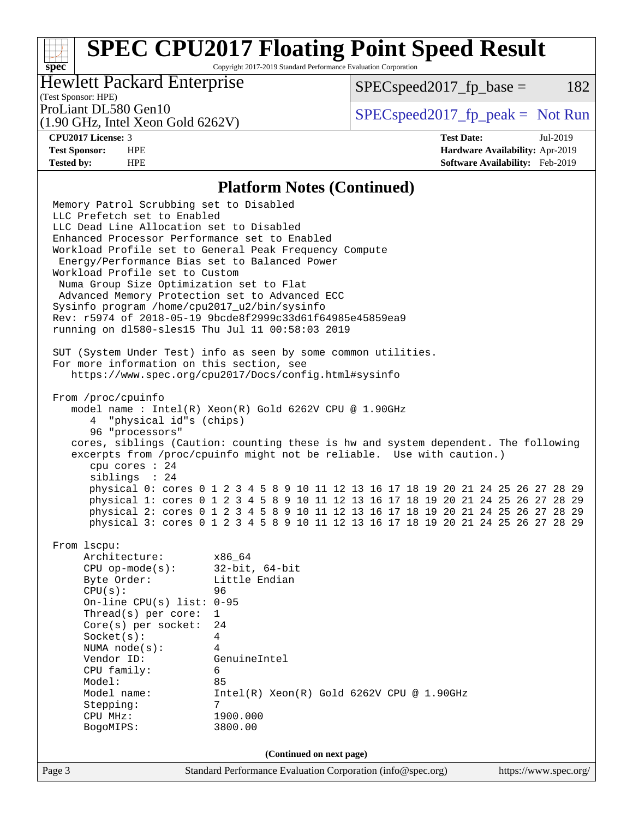Copyright 2017-2019 Standard Performance Evaluation Corporation

## Hewlett Packard Enterprise

 $SPEC speed2017_fp\_base = 182$ 

# (Test Sponsor: HPE)

(1.90 GHz, Intel Xeon Gold 6262V)

ProLiant DL580 Gen10  $SPEC speed2017$  [p\_peak = Not Run

**[spec](http://www.spec.org/)**

**[CPU2017 License:](http://www.spec.org/auto/cpu2017/Docs/result-fields.html#CPU2017License)** 3 **[Test Date:](http://www.spec.org/auto/cpu2017/Docs/result-fields.html#TestDate)** Jul-2019 **[Test Sponsor:](http://www.spec.org/auto/cpu2017/Docs/result-fields.html#TestSponsor)** HPE **[Hardware Availability:](http://www.spec.org/auto/cpu2017/Docs/result-fields.html#HardwareAvailability)** Apr-2019 **[Tested by:](http://www.spec.org/auto/cpu2017/Docs/result-fields.html#Testedby)** HPE **[Software Availability:](http://www.spec.org/auto/cpu2017/Docs/result-fields.html#SoftwareAvailability)** Feb-2019

#### **[Platform Notes \(Continued\)](http://www.spec.org/auto/cpu2017/Docs/result-fields.html#PlatformNotes)**

Page 3 Standard Performance Evaluation Corporation [\(info@spec.org\)](mailto:info@spec.org) <https://www.spec.org/> Memory Patrol Scrubbing set to Disabled LLC Prefetch set to Enabled LLC Dead Line Allocation set to Disabled Enhanced Processor Performance set to Enabled Workload Profile set to General Peak Frequency Compute Energy/Performance Bias set to Balanced Power Workload Profile set to Custom Numa Group Size Optimization set to Flat Advanced Memory Protection set to Advanced ECC Sysinfo program /home/cpu2017\_u2/bin/sysinfo Rev: r5974 of 2018-05-19 9bcde8f2999c33d61f64985e45859ea9 running on dl580-sles15 Thu Jul 11 00:58:03 2019 SUT (System Under Test) info as seen by some common utilities. For more information on this section, see <https://www.spec.org/cpu2017/Docs/config.html#sysinfo> From /proc/cpuinfo model name : Intel(R) Xeon(R) Gold 6262V CPU @ 1.90GHz 4 "physical id"s (chips) 96 "processors" cores, siblings (Caution: counting these is hw and system dependent. The following excerpts from /proc/cpuinfo might not be reliable. Use with caution.) cpu cores : 24 siblings : 24 physical 0: cores 0 1 2 3 4 5 8 9 10 11 12 13 16 17 18 19 20 21 24 25 26 27 28 29 physical 1: cores 0 1 2 3 4 5 8 9 10 11 12 13 16 17 18 19 20 21 24 25 26 27 28 29 physical 2: cores 0 1 2 3 4 5 8 9 10 11 12 13 16 17 18 19 20 21 24 25 26 27 28 29 physical 3: cores 0 1 2 3 4 5 8 9 10 11 12 13 16 17 18 19 20 21 24 25 26 27 28 29 From lscpu: Architecture: x86\_64 CPU op-mode(s): 32-bit, 64-bit Byte Order: Little Endian CPU(s): 96 On-line CPU(s) list: 0-95 Thread(s) per core: 1 Core(s) per socket: 24 Socket(s): 4 NUMA node(s): 4 Vendor ID: GenuineIntel CPU family: 6 Model: 85 Model name: Intel(R) Xeon(R) Gold 6262V CPU @ 1.90GHz Stepping: 7 CPU MHz: 1900.000 BogoMIPS: 3800.00 **(Continued on next page)**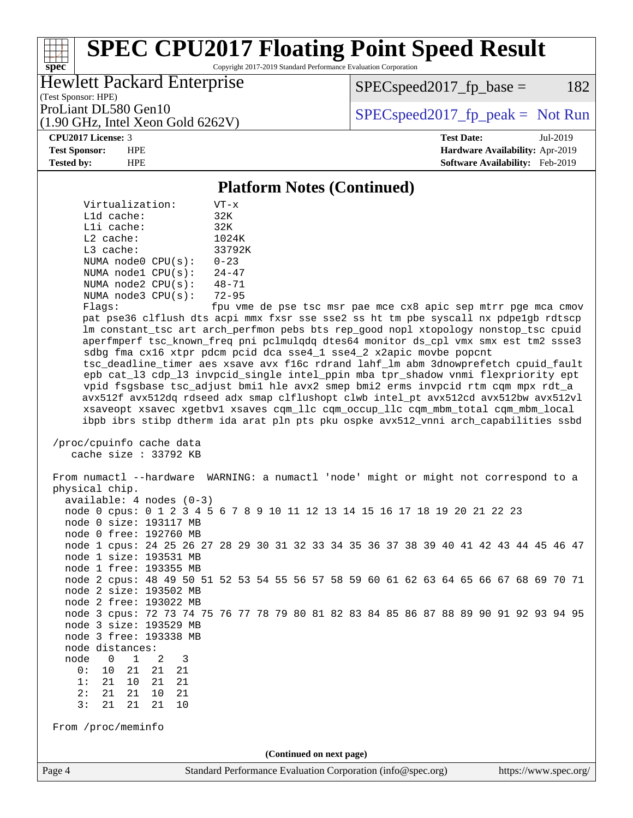Copyright 2017-2019 Standard Performance Evaluation Corporation

## Hewlett Packard Enterprise

(1.90 GHz, Intel Xeon Gold 6262V)

 $SPEC speed2017_fp\_base = 182$ 

(Test Sponsor: HPE)

ProLiant DL580 Gen10  $SPEC speed2017$  [p\_peak = Not Run

#### **[CPU2017 License:](http://www.spec.org/auto/cpu2017/Docs/result-fields.html#CPU2017License)** 3 **[Test Date:](http://www.spec.org/auto/cpu2017/Docs/result-fields.html#TestDate)** Jul-2019

**[spec](http://www.spec.org/)**

**[Test Sponsor:](http://www.spec.org/auto/cpu2017/Docs/result-fields.html#TestSponsor)** HPE **[Hardware Availability:](http://www.spec.org/auto/cpu2017/Docs/result-fields.html#HardwareAvailability)** Apr-2019 **[Tested by:](http://www.spec.org/auto/cpu2017/Docs/result-fields.html#Testedby)** HPE **[Software Availability:](http://www.spec.org/auto/cpu2017/Docs/result-fields.html#SoftwareAvailability)** Feb-2019

#### **[Platform Notes \(Continued\)](http://www.spec.org/auto/cpu2017/Docs/result-fields.html#PlatformNotes)**

| Virtualization:    | $VT - x$                         |
|--------------------|----------------------------------|
| $L1d$ cache:       | 32K                              |
| Lli cache:         | 32K                              |
| $L2$ cache:        | 1024K                            |
| $L3$ cache:        | 33792K                           |
| NUMA node0 CPU(s): | $0 - 23$                         |
| NUMA nodel CPU(s): | $24 - 47$                        |
| NUMA node2 CPU(s): | $48 - 71$                        |
| NUMA node3 CPU(s): | $72 - 95$                        |
| $E1 - 22$          | $f \sim \cdot \cdot \cdot \cdot$ |

Flags: fpu vme de pse tsc msr pae mce cx8 apic sep mtrr pge mca cmov pat pse36 clflush dts acpi mmx fxsr sse sse2 ss ht tm pbe syscall nx pdpe1gb rdtscp lm constant\_tsc art arch\_perfmon pebs bts rep\_good nopl xtopology nonstop\_tsc cpuid aperfmperf tsc\_known\_freq pni pclmulqdq dtes64 monitor ds\_cpl vmx smx est tm2 ssse3 sdbg fma cx16 xtpr pdcm pcid dca sse4\_1 sse4\_2 x2apic movbe popcnt tsc\_deadline\_timer aes xsave avx f16c rdrand lahf\_lm abm 3dnowprefetch cpuid\_fault epb cat\_l3 cdp\_l3 invpcid\_single intel\_ppin mba tpr\_shadow vnmi flexpriority ept vpid fsgsbase tsc\_adjust bmi1 hle avx2 smep bmi2 erms invpcid rtm cqm mpx rdt\_a avx512f avx512dq rdseed adx smap clflushopt clwb intel\_pt avx512cd avx512bw avx512vl xsaveopt xsavec xgetbv1 xsaves cqm\_llc cqm\_occup\_llc cqm\_mbm\_total cqm\_mbm\_local ibpb ibrs stibp dtherm ida arat pln pts pku ospke avx512\_vnni arch\_capabilities ssbd

 /proc/cpuinfo cache data cache size : 33792 KB

Page 4 Standard Performance Evaluation Corporation [\(info@spec.org\)](mailto:info@spec.org) <https://www.spec.org/> From numactl --hardware WARNING: a numactl 'node' might or might not correspond to a physical chip. available: 4 nodes (0-3) node 0 cpus: 0 1 2 3 4 5 6 7 8 9 10 11 12 13 14 15 16 17 18 19 20 21 22 23 node 0 size: 193117 MB node 0 free: 192760 MB node 1 cpus: 24 25 26 27 28 29 30 31 32 33 34 35 36 37 38 39 40 41 42 43 44 45 46 47 node 1 size: 193531 MB node 1 free: 193355 MB node 2 cpus: 48 49 50 51 52 53 54 55 56 57 58 59 60 61 62 63 64 65 66 67 68 69 70 71 node 2 size: 193502 MB node 2 free: 193022 MB node 3 cpus: 72 73 74 75 76 77 78 79 80 81 82 83 84 85 86 87 88 89 90 91 92 93 94 95 node 3 size: 193529 MB node 3 free: 193338 MB node distances: node 0 1 2 3 0: 10 21 21 21 1: 21 10 21 21 2: 21 21 10 21 3: 21 21 21 From /proc/meminfo **(Continued on next page)**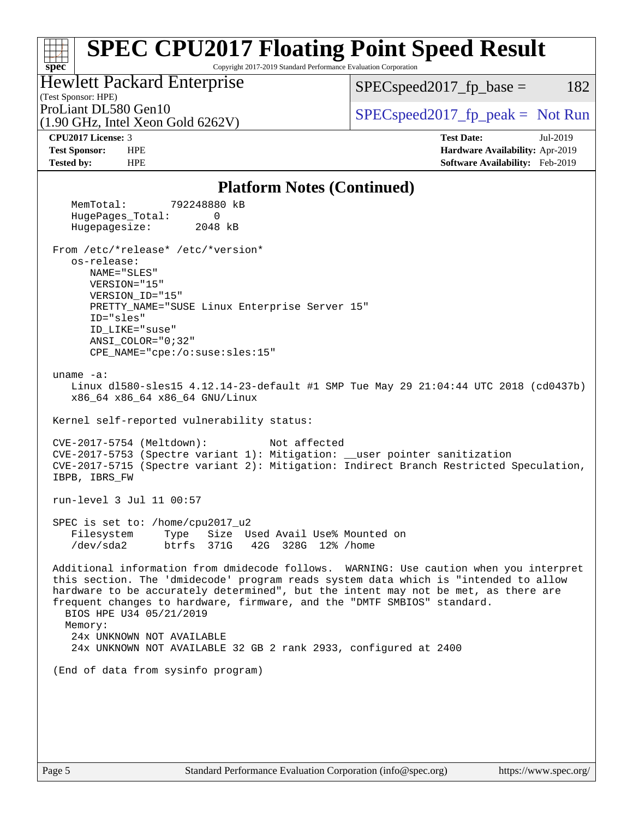#### **[spec](http://www.spec.org/) [SPEC CPU2017 Floating Point Speed Result](http://www.spec.org/auto/cpu2017/Docs/result-fields.html#SPECCPU2017FloatingPointSpeedResult)** Copyright 2017-2019 Standard Performance Evaluation Corporation (Test Sponsor: HPE) Hewlett Packard Enterprise (1.90 GHz, Intel Xeon Gold 6262V) ProLiant DL580 Gen10  $SPEC speed2017$  fp\_peak = Not Run  $SPEC speed2017_fp\_base = 182$ **[CPU2017 License:](http://www.spec.org/auto/cpu2017/Docs/result-fields.html#CPU2017License)** 3 **[Test Date:](http://www.spec.org/auto/cpu2017/Docs/result-fields.html#TestDate)** Jul-2019 **[Test Sponsor:](http://www.spec.org/auto/cpu2017/Docs/result-fields.html#TestSponsor)** HPE **[Hardware Availability:](http://www.spec.org/auto/cpu2017/Docs/result-fields.html#HardwareAvailability)** Apr-2019 **[Tested by:](http://www.spec.org/auto/cpu2017/Docs/result-fields.html#Testedby)** HPE **[Software Availability:](http://www.spec.org/auto/cpu2017/Docs/result-fields.html#SoftwareAvailability)** Feb-2019 **[Platform Notes \(Continued\)](http://www.spec.org/auto/cpu2017/Docs/result-fields.html#PlatformNotes)** MemTotal: 792248880 kB HugePages\_Total: 0 Hugepagesize: 2048 kB From /etc/\*release\* /etc/\*version\* os-release: NAME="SLES" VERSION="15" VERSION\_ID="15" PRETTY\_NAME="SUSE Linux Enterprise Server 15" ID="sles" ID\_LIKE="suse" ANSI\_COLOR="0;32" CPE\_NAME="cpe:/o:suse:sles:15" uname -a: Linux dl580-sles15 4.12.14-23-default #1 SMP Tue May 29 21:04:44 UTC 2018 (cd0437b) x86\_64 x86\_64 x86\_64 GNU/Linux Kernel self-reported vulnerability status: CVE-2017-5754 (Meltdown): Not affected CVE-2017-5753 (Spectre variant 1): Mitigation: \_\_user pointer sanitization CVE-2017-5715 (Spectre variant 2): Mitigation: Indirect Branch Restricted Speculation, IBPB, IBRS\_FW run-level 3 Jul 11 00:57 SPEC is set to: /home/cpu2017\_u2 Filesystem Type Size Used Avail Use% Mounted on /dev/sda2 btrfs 371G 42G 328G 12% /home Additional information from dmidecode follows. WARNING: Use caution when you interpret this section. The 'dmidecode' program reads system data which is "intended to allow hardware to be accurately determined", but the intent may not be met, as there are frequent changes to hardware, firmware, and the "DMTF SMBIOS" standard. BIOS HPE U34 05/21/2019 Memory: 24x UNKNOWN NOT AVAILABLE

24x UNKNOWN NOT AVAILABLE 32 GB 2 rank 2933, configured at 2400

(End of data from sysinfo program)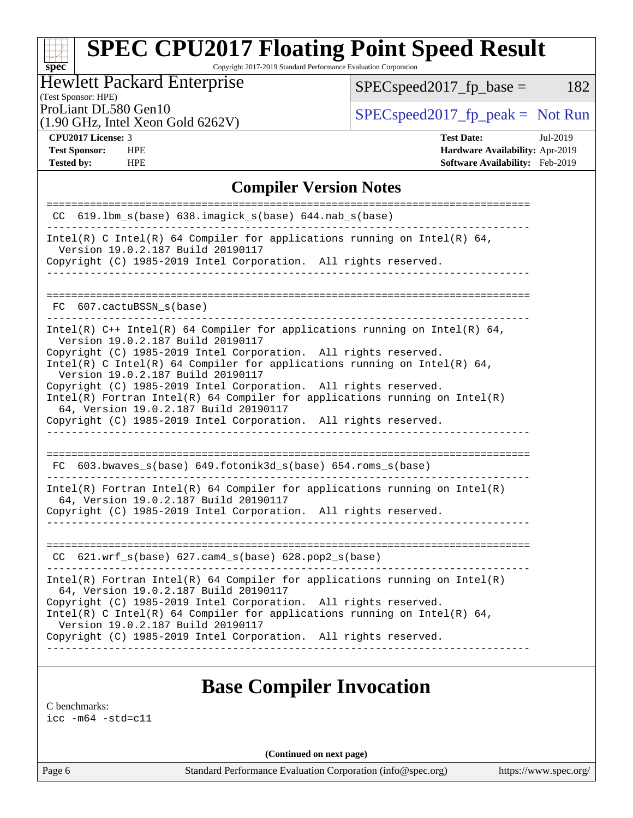Copyright 2017-2019 Standard Performance Evaluation Corporation

# Hewlett Packard Enterprise

 $SPEC speed2017_fp\_base = 182$ 

(Test Sponsor: HPE)

(1.90 GHz, Intel Xeon Gold 6262V)

ProLiant DL580 Gen10  $SPEC speed2017$  [p\_peak = Not Run

**[spec](http://www.spec.org/)**

**[Tested by:](http://www.spec.org/auto/cpu2017/Docs/result-fields.html#Testedby)** HPE **[Software Availability:](http://www.spec.org/auto/cpu2017/Docs/result-fields.html#SoftwareAvailability)** Feb-2019

**[CPU2017 License:](http://www.spec.org/auto/cpu2017/Docs/result-fields.html#CPU2017License)** 3 **[Test Date:](http://www.spec.org/auto/cpu2017/Docs/result-fields.html#TestDate)** Jul-2019 **[Test Sponsor:](http://www.spec.org/auto/cpu2017/Docs/result-fields.html#TestSponsor)** HPE **[Hardware Availability:](http://www.spec.org/auto/cpu2017/Docs/result-fields.html#HardwareAvailability)** Apr-2019

### **[Compiler Version Notes](http://www.spec.org/auto/cpu2017/Docs/result-fields.html#CompilerVersionNotes)**

| $CC$ 619.1bm $s$ (base) 638.imagick $s$ (base) 644.nab $s$ (base)                                                                                                                        |
|------------------------------------------------------------------------------------------------------------------------------------------------------------------------------------------|
| Intel(R) C Intel(R) 64 Compiler for applications running on Intel(R) 64,<br>Version 19.0.2.187 Build 20190117                                                                            |
| Copyright (C) 1985-2019 Intel Corporation. All rights reserved.                                                                                                                          |
|                                                                                                                                                                                          |
| FC 607.cactuBSSN s(base)                                                                                                                                                                 |
| Intel(R) $C++$ Intel(R) 64 Compiler for applications running on Intel(R) 64,<br>Version 19.0.2.187 Build 20190117                                                                        |
| Copyright (C) 1985-2019 Intel Corporation. All rights reserved.<br>Intel(R) C Intel(R) 64 Compiler for applications running on Intel(R) 64,<br>Version 19.0.2.187 Build 20190117         |
| Copyright (C) 1985-2019 Intel Corporation. All rights reserved.<br>$Intel(R)$ Fortran Intel(R) 64 Compiler for applications running on Intel(R)<br>64, Version 19.0.2.187 Build 20190117 |
| Copyright (C) 1985-2019 Intel Corporation. All rights reserved.                                                                                                                          |
|                                                                                                                                                                                          |
| FC 603.bwaves_s(base) 649.fotonik3d_s(base) 654.roms_s(base)                                                                                                                             |
| $Intel(R)$ Fortran Intel(R) 64 Compiler for applications running on Intel(R)<br>64, Version 19.0.2.187 Build 20190117                                                                    |
| Copyright (C) 1985-2019 Intel Corporation. All rights reserved.<br>____________________                                                                                                  |
|                                                                                                                                                                                          |
| $CC$ 621.wrf_s(base) 627.cam4_s(base) 628.pop2_s(base)                                                                                                                                   |
| $Intel(R)$ Fortran Intel(R) 64 Compiler for applications running on Intel(R)<br>64, Version 19.0.2.187 Build 20190117                                                                    |
| Copyright (C) 1985-2019 Intel Corporation. All rights reserved.<br>Intel(R) C Intel(R) 64 Compiler for applications running on Intel(R) 64,                                              |
| Version 19.0.2.187 Build 20190117<br>Copyright (C) 1985-2019 Intel Corporation. All rights reserved.                                                                                     |
|                                                                                                                                                                                          |

# **[Base Compiler Invocation](http://www.spec.org/auto/cpu2017/Docs/result-fields.html#BaseCompilerInvocation)**

[C benchmarks](http://www.spec.org/auto/cpu2017/Docs/result-fields.html#Cbenchmarks):

[icc -m64 -std=c11](http://www.spec.org/cpu2017/results/res2019q3/cpu2017-20190723-16364.flags.html#user_CCbase_intel_icc_64bit_c11_33ee0cdaae7deeeab2a9725423ba97205ce30f63b9926c2519791662299b76a0318f32ddfffdc46587804de3178b4f9328c46fa7c2b0cd779d7a61945c91cd35)

**(Continued on next page)**

Page 6 Standard Performance Evaluation Corporation [\(info@spec.org\)](mailto:info@spec.org) <https://www.spec.org/>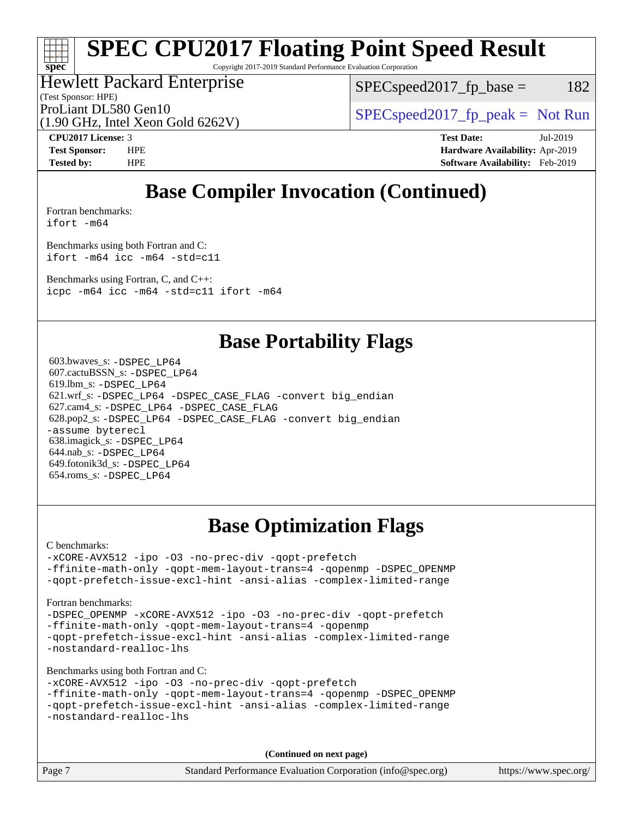Copyright 2017-2019 Standard Performance Evaluation Corporation

# Hewlett Packard Enterprise

 $SPEC speed2017_fp\_base = 182$ 

(Test Sponsor: HPE)

(1.90 GHz, Intel Xeon Gold 6262V)

ProLiant DL580 Gen10  $SPEC speed2017$  [p\_peak = Not Run

**[spec](http://www.spec.org/)**

**[CPU2017 License:](http://www.spec.org/auto/cpu2017/Docs/result-fields.html#CPU2017License)** 3 **[Test Date:](http://www.spec.org/auto/cpu2017/Docs/result-fields.html#TestDate)** Jul-2019 **[Test Sponsor:](http://www.spec.org/auto/cpu2017/Docs/result-fields.html#TestSponsor)** HPE **[Hardware Availability:](http://www.spec.org/auto/cpu2017/Docs/result-fields.html#HardwareAvailability)** Apr-2019 **[Tested by:](http://www.spec.org/auto/cpu2017/Docs/result-fields.html#Testedby)** HPE **[Software Availability:](http://www.spec.org/auto/cpu2017/Docs/result-fields.html#SoftwareAvailability)** Feb-2019

# **[Base Compiler Invocation \(Continued\)](http://www.spec.org/auto/cpu2017/Docs/result-fields.html#BaseCompilerInvocation)**

[Fortran benchmarks](http://www.spec.org/auto/cpu2017/Docs/result-fields.html#Fortranbenchmarks): [ifort -m64](http://www.spec.org/cpu2017/results/res2019q3/cpu2017-20190723-16364.flags.html#user_FCbase_intel_ifort_64bit_24f2bb282fbaeffd6157abe4f878425411749daecae9a33200eee2bee2fe76f3b89351d69a8130dd5949958ce389cf37ff59a95e7a40d588e8d3a57e0c3fd751)

[Benchmarks using both Fortran and C](http://www.spec.org/auto/cpu2017/Docs/result-fields.html#BenchmarksusingbothFortranandC): [ifort -m64](http://www.spec.org/cpu2017/results/res2019q3/cpu2017-20190723-16364.flags.html#user_CC_FCbase_intel_ifort_64bit_24f2bb282fbaeffd6157abe4f878425411749daecae9a33200eee2bee2fe76f3b89351d69a8130dd5949958ce389cf37ff59a95e7a40d588e8d3a57e0c3fd751) [icc -m64 -std=c11](http://www.spec.org/cpu2017/results/res2019q3/cpu2017-20190723-16364.flags.html#user_CC_FCbase_intel_icc_64bit_c11_33ee0cdaae7deeeab2a9725423ba97205ce30f63b9926c2519791662299b76a0318f32ddfffdc46587804de3178b4f9328c46fa7c2b0cd779d7a61945c91cd35)

[Benchmarks using Fortran, C, and C++:](http://www.spec.org/auto/cpu2017/Docs/result-fields.html#BenchmarksusingFortranCandCXX) [icpc -m64](http://www.spec.org/cpu2017/results/res2019q3/cpu2017-20190723-16364.flags.html#user_CC_CXX_FCbase_intel_icpc_64bit_4ecb2543ae3f1412ef961e0650ca070fec7b7afdcd6ed48761b84423119d1bf6bdf5cad15b44d48e7256388bc77273b966e5eb805aefd121eb22e9299b2ec9d9) [icc -m64 -std=c11](http://www.spec.org/cpu2017/results/res2019q3/cpu2017-20190723-16364.flags.html#user_CC_CXX_FCbase_intel_icc_64bit_c11_33ee0cdaae7deeeab2a9725423ba97205ce30f63b9926c2519791662299b76a0318f32ddfffdc46587804de3178b4f9328c46fa7c2b0cd779d7a61945c91cd35) [ifort -m64](http://www.spec.org/cpu2017/results/res2019q3/cpu2017-20190723-16364.flags.html#user_CC_CXX_FCbase_intel_ifort_64bit_24f2bb282fbaeffd6157abe4f878425411749daecae9a33200eee2bee2fe76f3b89351d69a8130dd5949958ce389cf37ff59a95e7a40d588e8d3a57e0c3fd751)

# **[Base Portability Flags](http://www.spec.org/auto/cpu2017/Docs/result-fields.html#BasePortabilityFlags)**

 603.bwaves\_s: [-DSPEC\\_LP64](http://www.spec.org/cpu2017/results/res2019q3/cpu2017-20190723-16364.flags.html#suite_basePORTABILITY603_bwaves_s_DSPEC_LP64) 607.cactuBSSN\_s: [-DSPEC\\_LP64](http://www.spec.org/cpu2017/results/res2019q3/cpu2017-20190723-16364.flags.html#suite_basePORTABILITY607_cactuBSSN_s_DSPEC_LP64) 619.lbm\_s: [-DSPEC\\_LP64](http://www.spec.org/cpu2017/results/res2019q3/cpu2017-20190723-16364.flags.html#suite_basePORTABILITY619_lbm_s_DSPEC_LP64) 621.wrf\_s: [-DSPEC\\_LP64](http://www.spec.org/cpu2017/results/res2019q3/cpu2017-20190723-16364.flags.html#suite_basePORTABILITY621_wrf_s_DSPEC_LP64) [-DSPEC\\_CASE\\_FLAG](http://www.spec.org/cpu2017/results/res2019q3/cpu2017-20190723-16364.flags.html#b621.wrf_s_baseCPORTABILITY_DSPEC_CASE_FLAG) [-convert big\\_endian](http://www.spec.org/cpu2017/results/res2019q3/cpu2017-20190723-16364.flags.html#user_baseFPORTABILITY621_wrf_s_convert_big_endian_c3194028bc08c63ac5d04de18c48ce6d347e4e562e8892b8bdbdc0214820426deb8554edfa529a3fb25a586e65a3d812c835984020483e7e73212c4d31a38223) 627.cam4\_s: [-DSPEC\\_LP64](http://www.spec.org/cpu2017/results/res2019q3/cpu2017-20190723-16364.flags.html#suite_basePORTABILITY627_cam4_s_DSPEC_LP64) [-DSPEC\\_CASE\\_FLAG](http://www.spec.org/cpu2017/results/res2019q3/cpu2017-20190723-16364.flags.html#b627.cam4_s_baseCPORTABILITY_DSPEC_CASE_FLAG) 628.pop2\_s: [-DSPEC\\_LP64](http://www.spec.org/cpu2017/results/res2019q3/cpu2017-20190723-16364.flags.html#suite_basePORTABILITY628_pop2_s_DSPEC_LP64) [-DSPEC\\_CASE\\_FLAG](http://www.spec.org/cpu2017/results/res2019q3/cpu2017-20190723-16364.flags.html#b628.pop2_s_baseCPORTABILITY_DSPEC_CASE_FLAG) [-convert big\\_endian](http://www.spec.org/cpu2017/results/res2019q3/cpu2017-20190723-16364.flags.html#user_baseFPORTABILITY628_pop2_s_convert_big_endian_c3194028bc08c63ac5d04de18c48ce6d347e4e562e8892b8bdbdc0214820426deb8554edfa529a3fb25a586e65a3d812c835984020483e7e73212c4d31a38223) [-assume byterecl](http://www.spec.org/cpu2017/results/res2019q3/cpu2017-20190723-16364.flags.html#user_baseFPORTABILITY628_pop2_s_assume_byterecl_7e47d18b9513cf18525430bbf0f2177aa9bf368bc7a059c09b2c06a34b53bd3447c950d3f8d6c70e3faf3a05c8557d66a5798b567902e8849adc142926523472) 638.imagick\_s: [-DSPEC\\_LP64](http://www.spec.org/cpu2017/results/res2019q3/cpu2017-20190723-16364.flags.html#suite_basePORTABILITY638_imagick_s_DSPEC_LP64) 644.nab\_s: [-DSPEC\\_LP64](http://www.spec.org/cpu2017/results/res2019q3/cpu2017-20190723-16364.flags.html#suite_basePORTABILITY644_nab_s_DSPEC_LP64) 649.fotonik3d\_s: [-DSPEC\\_LP64](http://www.spec.org/cpu2017/results/res2019q3/cpu2017-20190723-16364.flags.html#suite_basePORTABILITY649_fotonik3d_s_DSPEC_LP64) 654.roms\_s: [-DSPEC\\_LP64](http://www.spec.org/cpu2017/results/res2019q3/cpu2017-20190723-16364.flags.html#suite_basePORTABILITY654_roms_s_DSPEC_LP64)

# **[Base Optimization Flags](http://www.spec.org/auto/cpu2017/Docs/result-fields.html#BaseOptimizationFlags)**

[C benchmarks](http://www.spec.org/auto/cpu2017/Docs/result-fields.html#Cbenchmarks):

[-xCORE-AVX512](http://www.spec.org/cpu2017/results/res2019q3/cpu2017-20190723-16364.flags.html#user_CCbase_f-xCORE-AVX512) [-ipo](http://www.spec.org/cpu2017/results/res2019q3/cpu2017-20190723-16364.flags.html#user_CCbase_f-ipo) [-O3](http://www.spec.org/cpu2017/results/res2019q3/cpu2017-20190723-16364.flags.html#user_CCbase_f-O3) [-no-prec-div](http://www.spec.org/cpu2017/results/res2019q3/cpu2017-20190723-16364.flags.html#user_CCbase_f-no-prec-div) [-qopt-prefetch](http://www.spec.org/cpu2017/results/res2019q3/cpu2017-20190723-16364.flags.html#user_CCbase_f-qopt-prefetch) [-ffinite-math-only](http://www.spec.org/cpu2017/results/res2019q3/cpu2017-20190723-16364.flags.html#user_CCbase_f_finite_math_only_cb91587bd2077682c4b38af759c288ed7c732db004271a9512da14a4f8007909a5f1427ecbf1a0fb78ff2a814402c6114ac565ca162485bbcae155b5e4258871) [-qopt-mem-layout-trans=4](http://www.spec.org/cpu2017/results/res2019q3/cpu2017-20190723-16364.flags.html#user_CCbase_f-qopt-mem-layout-trans_fa39e755916c150a61361b7846f310bcdf6f04e385ef281cadf3647acec3f0ae266d1a1d22d972a7087a248fd4e6ca390a3634700869573d231a252c784941a8) [-qopenmp](http://www.spec.org/cpu2017/results/res2019q3/cpu2017-20190723-16364.flags.html#user_CCbase_qopenmp_16be0c44f24f464004c6784a7acb94aca937f053568ce72f94b139a11c7c168634a55f6653758ddd83bcf7b8463e8028bb0b48b77bcddc6b78d5d95bb1df2967) [-DSPEC\\_OPENMP](http://www.spec.org/cpu2017/results/res2019q3/cpu2017-20190723-16364.flags.html#suite_CCbase_DSPEC_OPENMP) [-qopt-prefetch-issue-excl-hint](http://www.spec.org/cpu2017/results/res2019q3/cpu2017-20190723-16364.flags.html#user_CCbase_f-qopt-prefetch-issue-excl-hint) [-ansi-alias](http://www.spec.org/cpu2017/results/res2019q3/cpu2017-20190723-16364.flags.html#user_CCbase_f-ansi-alias) [-complex-limited-range](http://www.spec.org/cpu2017/results/res2019q3/cpu2017-20190723-16364.flags.html#user_CCbase_f-complex-limited-range)

#### [Fortran benchmarks](http://www.spec.org/auto/cpu2017/Docs/result-fields.html#Fortranbenchmarks):

[-DSPEC\\_OPENMP](http://www.spec.org/cpu2017/results/res2019q3/cpu2017-20190723-16364.flags.html#suite_FCbase_DSPEC_OPENMP) [-xCORE-AVX512](http://www.spec.org/cpu2017/results/res2019q3/cpu2017-20190723-16364.flags.html#user_FCbase_f-xCORE-AVX512) [-ipo](http://www.spec.org/cpu2017/results/res2019q3/cpu2017-20190723-16364.flags.html#user_FCbase_f-ipo) [-O3](http://www.spec.org/cpu2017/results/res2019q3/cpu2017-20190723-16364.flags.html#user_FCbase_f-O3) [-no-prec-div](http://www.spec.org/cpu2017/results/res2019q3/cpu2017-20190723-16364.flags.html#user_FCbase_f-no-prec-div) [-qopt-prefetch](http://www.spec.org/cpu2017/results/res2019q3/cpu2017-20190723-16364.flags.html#user_FCbase_f-qopt-prefetch) [-ffinite-math-only](http://www.spec.org/cpu2017/results/res2019q3/cpu2017-20190723-16364.flags.html#user_FCbase_f_finite_math_only_cb91587bd2077682c4b38af759c288ed7c732db004271a9512da14a4f8007909a5f1427ecbf1a0fb78ff2a814402c6114ac565ca162485bbcae155b5e4258871) [-qopt-mem-layout-trans=4](http://www.spec.org/cpu2017/results/res2019q3/cpu2017-20190723-16364.flags.html#user_FCbase_f-qopt-mem-layout-trans_fa39e755916c150a61361b7846f310bcdf6f04e385ef281cadf3647acec3f0ae266d1a1d22d972a7087a248fd4e6ca390a3634700869573d231a252c784941a8) [-qopenmp](http://www.spec.org/cpu2017/results/res2019q3/cpu2017-20190723-16364.flags.html#user_FCbase_qopenmp_16be0c44f24f464004c6784a7acb94aca937f053568ce72f94b139a11c7c168634a55f6653758ddd83bcf7b8463e8028bb0b48b77bcddc6b78d5d95bb1df2967) [-qopt-prefetch-issue-excl-hint](http://www.spec.org/cpu2017/results/res2019q3/cpu2017-20190723-16364.flags.html#user_FCbase_f-qopt-prefetch-issue-excl-hint) [-ansi-alias](http://www.spec.org/cpu2017/results/res2019q3/cpu2017-20190723-16364.flags.html#user_FCbase_f-ansi-alias) [-complex-limited-range](http://www.spec.org/cpu2017/results/res2019q3/cpu2017-20190723-16364.flags.html#user_FCbase_f-complex-limited-range) [-nostandard-realloc-lhs](http://www.spec.org/cpu2017/results/res2019q3/cpu2017-20190723-16364.flags.html#user_FCbase_f_2003_std_realloc_82b4557e90729c0f113870c07e44d33d6f5a304b4f63d4c15d2d0f1fab99f5daaed73bdb9275d9ae411527f28b936061aa8b9c8f2d63842963b95c9dd6426b8a)

[Benchmarks using both Fortran and C](http://www.spec.org/auto/cpu2017/Docs/result-fields.html#BenchmarksusingbothFortranandC):

```
-xCORE-AVX512 -ipo -O3 -no-prec-div -qopt-prefetch
-ffinite-math-only -qopt-mem-layout-trans=4 -qopenmp -DSPEC_OPENMP
-qopt-prefetch-issue-excl-hint -ansi-alias -complex-limited-range
-nostandard-realloc-lhs
```
**(Continued on next page)**